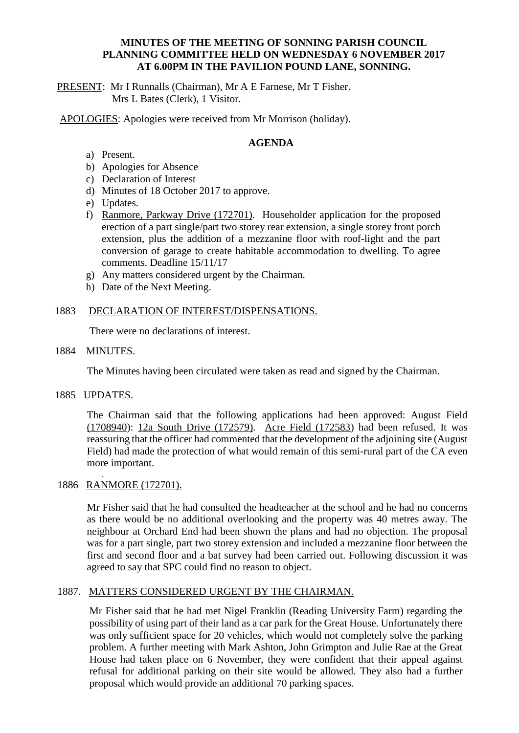## **MINUTES OF THE MEETING OF SONNING PARISH COUNCIL PLANNING COMMITTEE HELD ON WEDNESDAY 6 NOVEMBER 2017 AT 6.00PM IN THE PAVILION POUND LANE, SONNING.**

PRESENT: Mr I Runnalls (Chairman), Mr A E Farnese, Mr T Fisher. Mrs L Bates (Clerk), 1 Visitor.

APOLOGIES: Apologies were received from Mr Morrison (holiday).

# **AGENDA**

- a) Present.
- b) Apologies for Absence
- c) Declaration of Interest
- d) Minutes of 18 October 2017 to approve.
- e) Updates.
- f) Ranmore, Parkway Drive (172701). Householder application for the proposed erection of a part single/part two storey rear extension, a single storey front porch extension, plus the addition of a mezzanine floor with roof-light and the part conversion of garage to create habitable accommodation to dwelling. To agree comments. Deadline 15/11/17
- g) Any matters considered urgent by the Chairman.
- h) Date of the Next Meeting.

#### 1883 DECLARATION OF INTEREST/DISPENSATIONS.

There were no declarations of interest.

1884 MINUTES.

The Minutes having been circulated were taken as read and signed by the Chairman.

1885 UPDATES.

The Chairman said that the following applications had been approved: August Field (1708940): 12a South Drive (172579). Acre Field (172583) had been refused. It was reassuring that the officer had commented that the development of the adjoining site (August Field) had made the protection of what would remain of this semi-rural part of the CA even more important.

## 1886 RANMORE (172701).

.

Mr Fisher said that he had consulted the headteacher at the school and he had no concerns as there would be no additional overlooking and the property was 40 metres away. The neighbour at Orchard End had been shown the plans and had no objection. The proposal was for a part single, part two storey extension and included a mezzanine floor between the first and second floor and a bat survey had been carried out. Following discussion it was agreed to say that SPC could find no reason to object.

# 1887. MATTERS CONSIDERED URGENT BY THE CHAIRMAN.

Mr Fisher said that he had met Nigel Franklin (Reading University Farm) regarding the possibility of using part of their land as a car park for the Great House. Unfortunately there was only sufficient space for 20 vehicles, which would not completely solve the parking problem. A further meeting with Mark Ashton, John Grimpton and Julie Rae at the Great House had taken place on 6 November, they were confident that their appeal against refusal for additional parking on their site would be allowed. They also had a further proposal which would provide an additional 70 parking spaces.